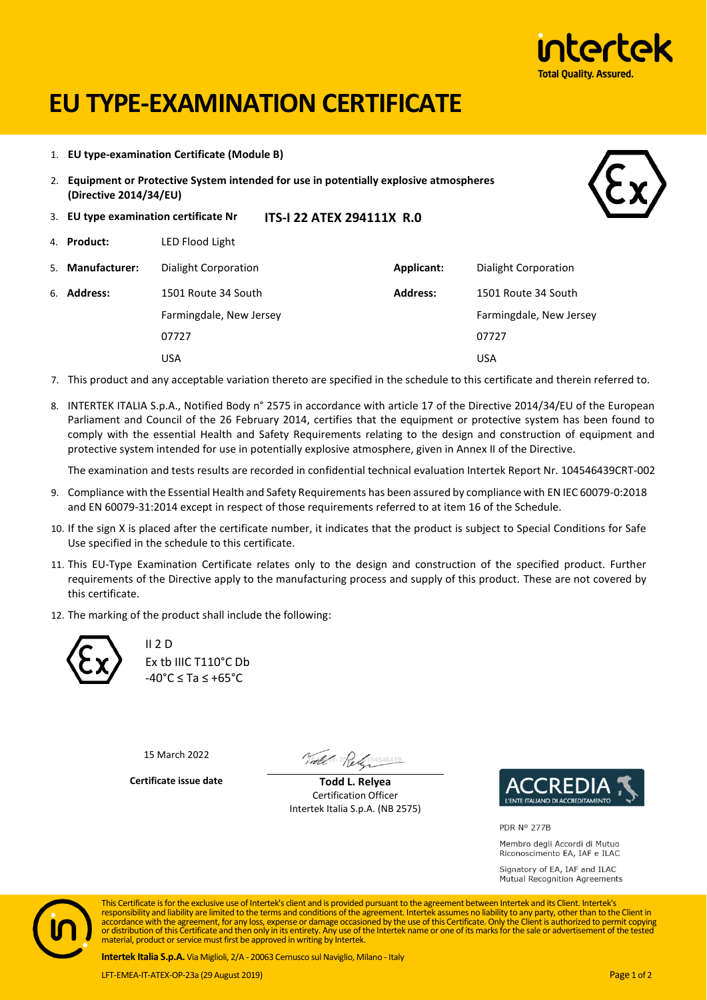

# **EU TYPE-EXAMINATION CERTIFICATE**

- 1. **EU type-examination Certificate (Module B)**
- 2. **Equipment or Protective System intended for use in potentially explosive atmospheres (Directive 2014/34/EU)**



- 3. **EU type examination certificate Nr ITS-I 22 ATEX 294111X R.0**
- 4. **Product:** LED Flood Light
- 5. **Manufacturer:** Dialight Corporation **Applicant:** Dialight Corporation

| 6. <b>Address:</b> | 1501 Route 34 South     | <b>Address:</b> | 1501 Route 34 South     |
|--------------------|-------------------------|-----------------|-------------------------|
|                    | Farmingdale, New Jersey |                 | Farmingdale, New Jersey |
|                    | 07727                   |                 | 07727                   |
|                    | USA                     |                 | USA                     |

- 7. This product and any acceptable variation thereto are specified in the schedule to this certificate and therein referred to.
- 8. INTERTEK ITALIA S.p.A., Notified Body n° 2575 in accordance with article 17 of the Directive 2014/34/EU of the European Parliament and Council of the 26 February 2014, certifies that the equipment or protective system has been found to comply with the essential Health and Safety Requirements relating to the design and construction of equipment and protective system intended for use in potentially explosive atmosphere, given in Annex II of the Directive.

The examination and tests results are recorded in confidential technical evaluation Intertek Report Nr. 104546439CRT-002

- 9. Compliance with the Essential Health and Safety Requirements has been assured by compliance with EN IEC 60079-0:2018 and EN 60079-31:2014 except in respect of those requirements referred to at item 16 of the Schedule.
- 10. If the sign X is placed after the certificate number, it indicates that the product is subject to Special Conditions for Safe Use specified in the schedule to this certificate.
- 11. This EU-Type Examination Certificate relates only to the design and construction of the specified product. Further requirements of the Directive apply to the manufacturing process and supply of this product. These are not covered by this certificate.
- 12. The marking of the product shall include the following:



II 2 D Ex tb IIIC T110°C Db -40°C ≤ Ta ≤ +65°C

15 March 2022

Tothe 1 2 Rely 104546439

**Certificate issue date Todd L. Relyea** Certification Officer Intertek Italia S.p.A. (NB 2575)



PDR Nº 277B

Membro degli Accordi di Mutuo Riconoscimento EA, IAF e ILAC

Signatory of EA, IAF and ILAC Mutual Recognition Agreements



This Certificate is for the exclusive use of Intertek's client and is provided pursuant to the agreement between Intertek and its Client. Intertek's responsibility and liability are limited to the terms and conditions of the agreement. Intertek assumes no liability to any party, other than to the Client in<br>accordance with the agreement, for any loss, expense or damage material, product or service must first be approved in writing by Intertek.

**Intertek Italia S.p.A.** Via Miglioli, 2/A - 20063 Cernusco sul Naviglio, Milano - Italy